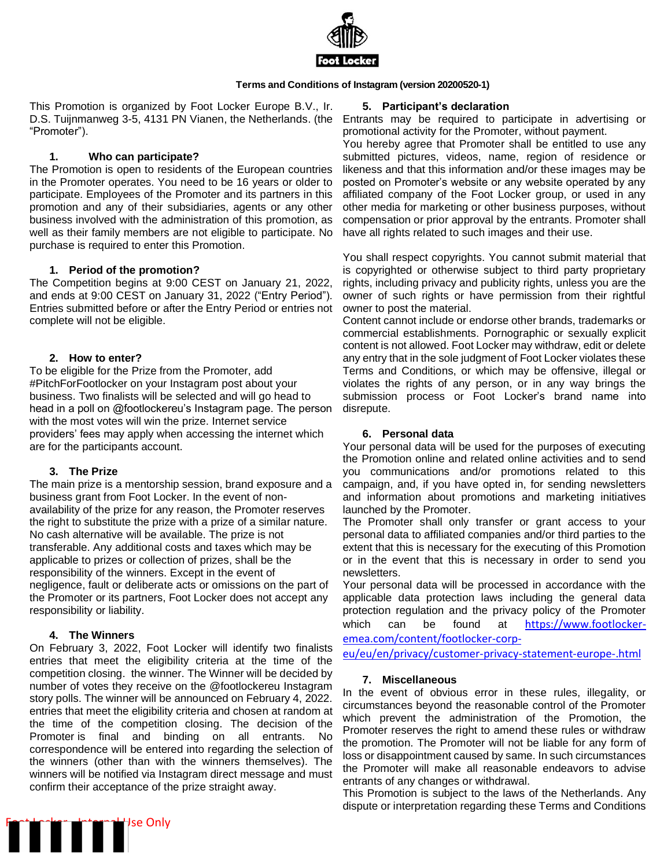

#### **Terms and Conditions of Instagram (version 20200520-1)**

This Promotion is organized by Foot Locker Europe B.V., Ir. D.S. Tuijnmanweg 3-5, 4131 PN Vianen, the Netherlands. (the "Promoter").

# **1. Who can participate?**

The Promotion is open to residents of the European countries in the Promoter operates. You need to be 16 years or older to participate. Employees of the Promoter and its partners in this promotion and any of their subsidiaries, agents or any other business involved with the administration of this promotion, as well as their family members are not eligible to participate. No purchase is required to enter this Promotion.

# **1. Period of the promotion?**

The Competition begins at 9:00 CEST on January 21, 2022, and ends at 9:00 CEST on January 31, 2022 ("Entry Period"). Entries submitted before or after the Entry Period or entries not complete will not be eligible.

#### **2. How to enter?**

To be eligible for the Prize from the Promoter, add #PitchForFootlocker on your Instagram post about your business. Two finalists will be selected and will go head to head in a poll on @footlockereu's Instagram page. The person with the most votes will win the prize. Internet service providers' fees may apply when accessing the internet which are for the participants account.

# **3. The Prize**

The main prize is a mentorship session, brand exposure and a business grant from Foot Locker. In the event of nonavailability of the prize for any reason, the Promoter reserves the right to substitute the prize with a prize of a similar nature. No cash alternative will be available. The prize is not transferable. Any additional costs and taxes which may be applicable to prizes or collection of prizes, shall be the responsibility of the winners. Except in the event of negligence, fault or deliberate acts or omissions on the part of the Promoter or its partners, Foot Locker does not accept any responsibility or liability.

# **4. The Winners**

On February 3, 2022, Foot Locker will identify two finalists entries that meet the eligibility criteria at the time of the competition closing. the winner. The Winner will be decided by number of votes they receive on the @footlockereu Instagram story polls. The winner will be announced on February 4, 2022. entries that meet the eligibility criteria and chosen at random at the time of the competition closing. The decision of the Promoter is final and binding on all entrants. No correspondence will be entered into regarding the selection of the winners (other than with the winners themselves). The winners will be notified via Instagram direct message and must confirm their acceptance of the prize straight away.

# **5. Participant's declaration**

Entrants may be required to participate in advertising or promotional activity for the Promoter, without payment.

You hereby agree that Promoter shall be entitled to use any submitted pictures, videos, name, region of residence or likeness and that this information and/or these images may be posted on Promoter's website or any website operated by any affiliated company of the Foot Locker group, or used in any other media for marketing or other business purposes, without compensation or prior approval by the entrants. Promoter shall have all rights related to such images and their use.

You shall respect copyrights. You cannot submit material that is copyrighted or otherwise subject to third party proprietary rights, including privacy and publicity rights, unless you are the owner of such rights or have permission from their rightful owner to post the material.

Content cannot include or endorse other brands, trademarks or commercial establishments. Pornographic or sexually explicit content is not allowed. Foot Locker may withdraw, edit or delete any entry that in the sole judgment of Foot Locker violates these Terms and Conditions, or which may be offensive, illegal or violates the rights of any person, or in any way brings the submission process or Foot Locker's brand name into disrepute.

# **6. Personal data**

Your personal data will be used for the purposes of executing the Promotion online and related online activities and to send you communications and/or promotions related to this campaign, and, if you have opted in, for sending newsletters and information about promotions and marketing initiatives launched by the Promoter.

The Promoter shall only transfer or grant access to your personal data to affiliated companies and/or third parties to the extent that this is necessary for the executing of this Promotion or in the event that this is necessary in order to send you newsletters.

Your personal data will be processed in accordance with the applicable data protection laws including the general data protection regulation and the privacy policy of the Promoter which can be found at [https://www.footlocker](https://www.footlocker-emea.com/content/footlocker-corp-eu/eu/en/privacy/customer-privacy-statement-europe-.html)[emea.com/content/footlocker-corp-](https://www.footlocker-emea.com/content/footlocker-corp-eu/eu/en/privacy/customer-privacy-statement-europe-.html)

[eu/eu/en/privacy/customer-privacy-statement-europe-.html](https://www.footlocker-emea.com/content/footlocker-corp-eu/eu/en/privacy/customer-privacy-statement-europe-.html)

# **7. Miscellaneous**

In the event of obvious error in these rules, illegality, or circumstances beyond the reasonable control of the Promoter which prevent the administration of the Promotion, the Promoter reserves the right to amend these rules or withdraw the promotion. The Promoter will not be liable for any form of loss or disappointment caused by same. In such circumstances the Promoter will make all reasonable endeavors to advise entrants of any changes or withdrawal.

This Promotion is subject to the laws of the Netherlands. Any dispute or interpretation regarding these Terms and Conditions